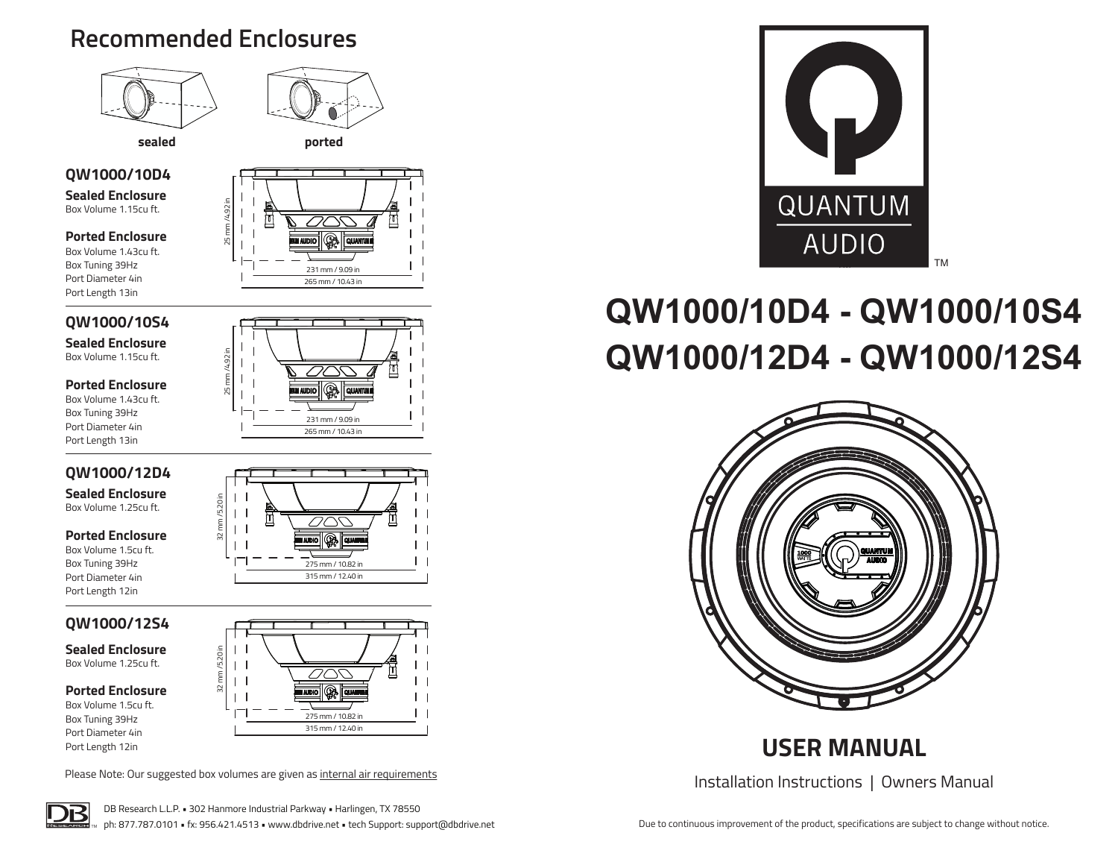# **Recommended Enclosures**





25 mm /4.92 in

# **QW1000/10D4**

**Sealed Enclosure** Box Volume 1.15cu ft.

## **Ported Enclosure**

Box Volume 1.43cu ft. Box Tuning 39Hz Port Diameter 4in Port Length 13in

# 25 mm /4.92 in 231 mm / 9.09 in 265 mm / 10.43 in

# **QW1000/10S4**

**Sealed Enclosure** Box Volume 1.15cu ft.

### **Ported Enclosure**

Box Volume 1.43cu ft. Box Tuning 39Hz Port Diameter 4in Port Length 13in

# **QW1000/12D4**

**Sealed Enclosure** Box Volume 1.25cu ft.

### **Ported Enclosure**

Box Volume 1.5cu ft. Box Tuning 39Hz Port Diameter 4in Port Length 12in

# **QW1000/12S4**

**Sealed Enclosure** Box Volume 1.25cu ft.

### **Ported Enclosure**

Box Volume 1.5cu ft. Box Tuning 39Hz Port Diameter 4in Port Length 12in



231 mm / 9.09 in 265 mm / 10.43 in



Please Note: Our suggested box volumes are given as internal air requirements





# **QW1000/10D4 - QW1000/10S4 QW1000/12D4 - QW1000/12S4**



# **USER MANUAL**

Installation Instructions | Owners Manual